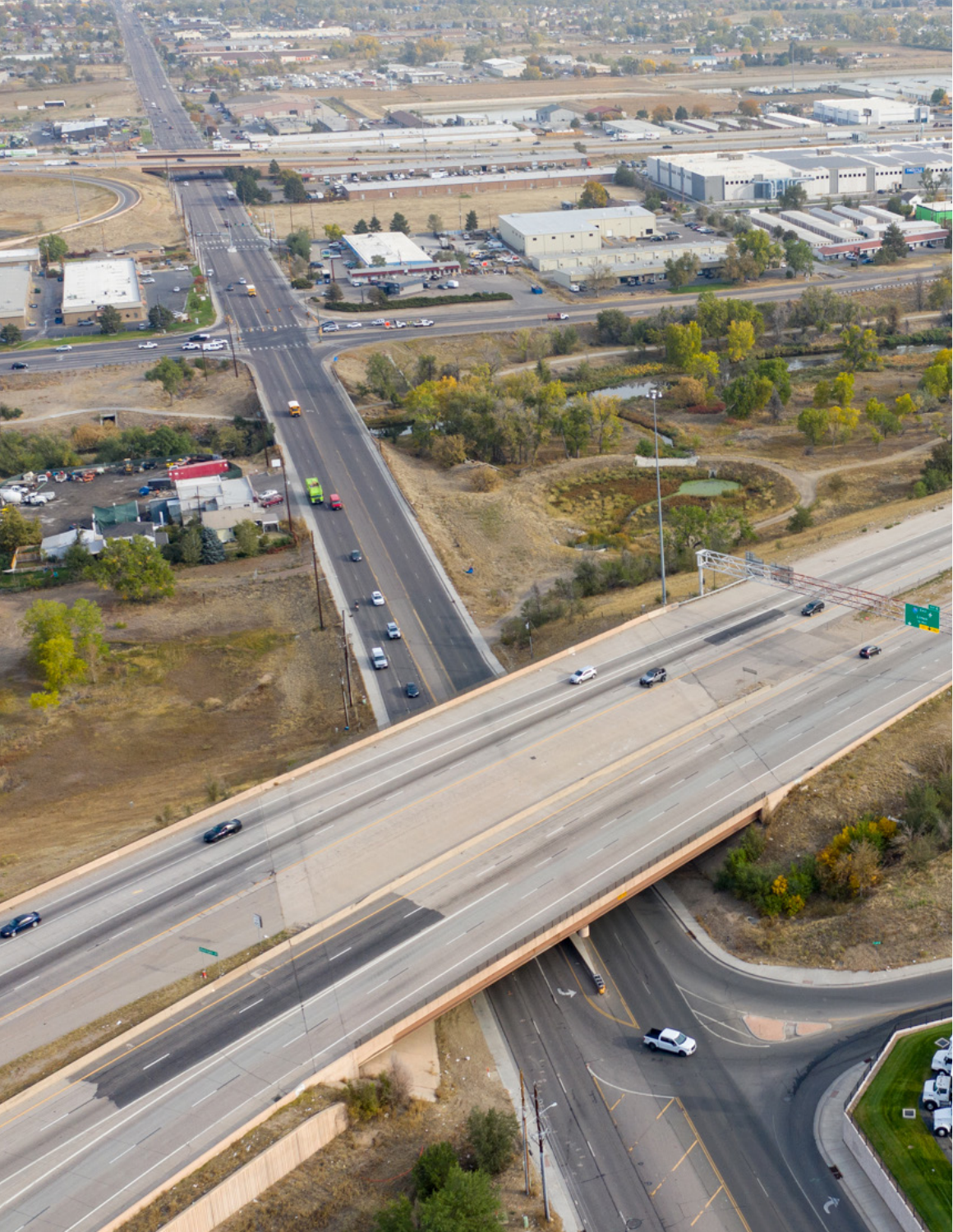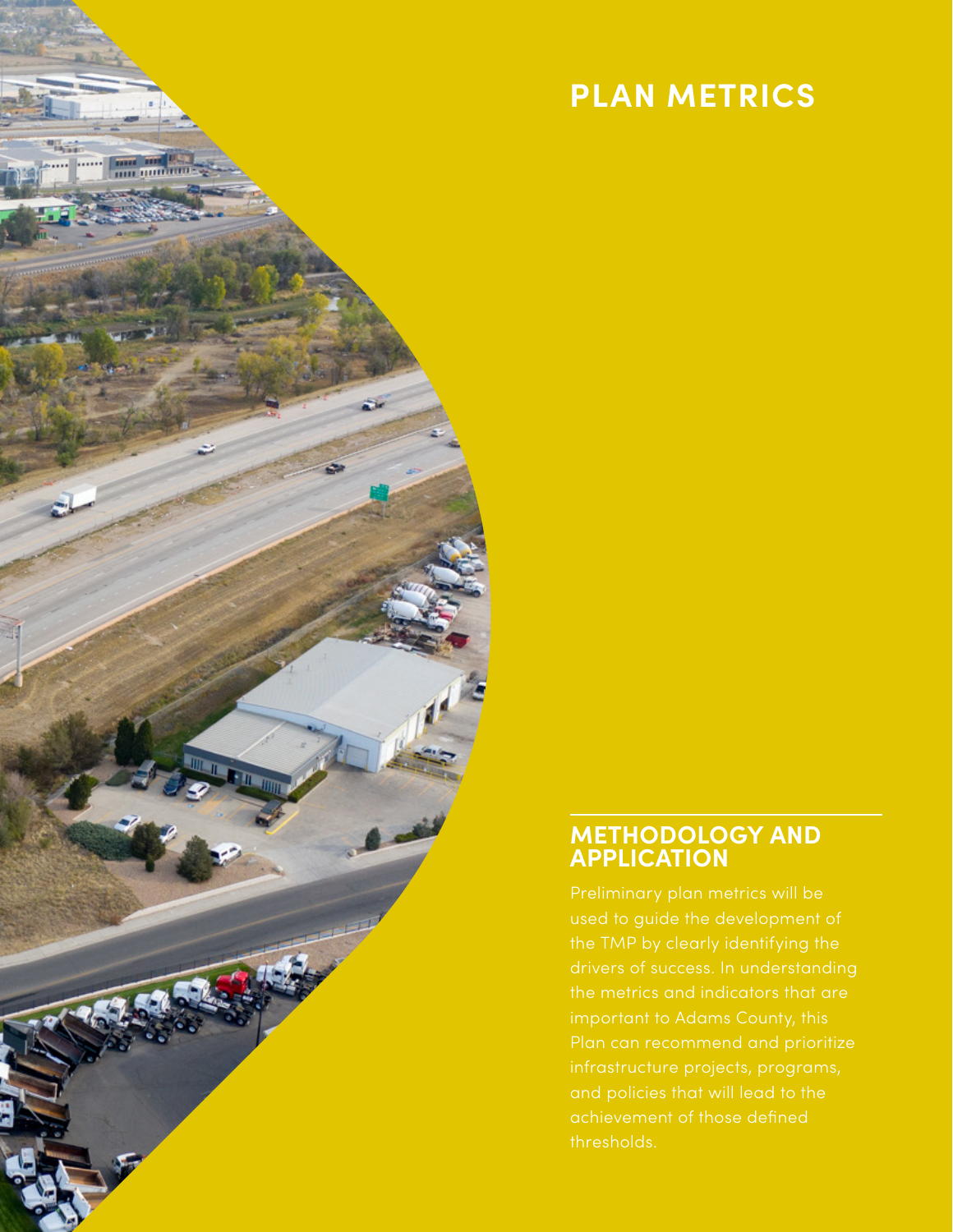

nin min.iu

5.

## **METHODOLOGY AND APPLICATION**

drivers of success. In understanding achievement of those defined thresholds.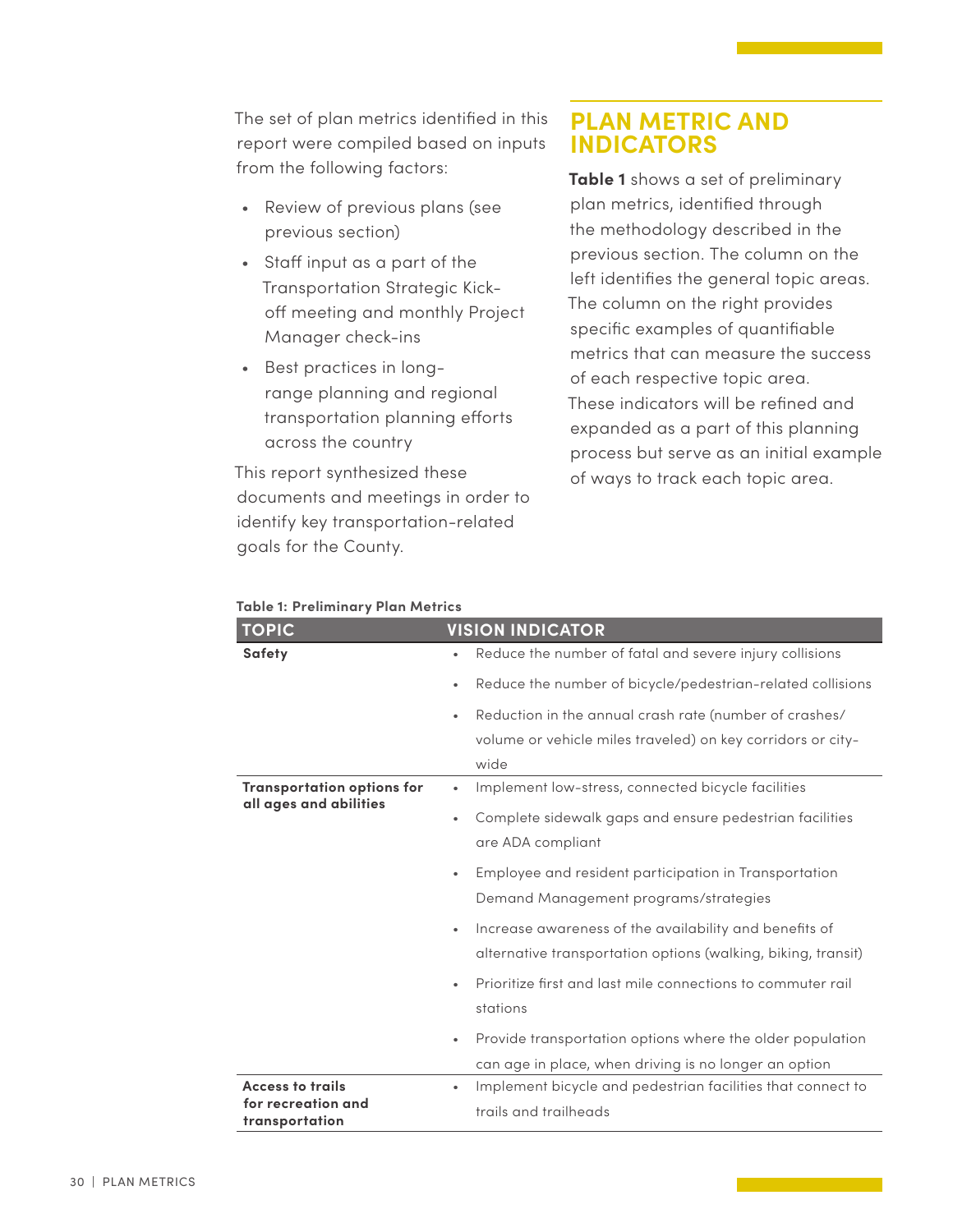The set of plan metrics identified in this report were compiled based on inputs from the following factors:

- Review of previous plans (see previous section)
- Staff input as a part of the Transportation Strategic Kickoff meeting and monthly Project Manager check-ins
- Best practices in longrange planning and regional transportation planning efforts across the country

This report synthesized these documents and meetings in order to identify key transportation-related goals for the County.

## **PLAN METRIC AND INDICATORS**

**Table 1** shows a set of preliminary plan metrics, identified through the methodology described in the previous section. The column on the left identifies the general topic areas. The column on the right provides specific examples of quantifiable metrics that can measure the success of each respective topic area. These indicators will be refined and expanded as a part of this planning process but serve as an initial example of ways to track each topic area.

| <b>TOPIC</b>                                                | <b>VISION INDICATOR</b>                                                  |  |  |
|-------------------------------------------------------------|--------------------------------------------------------------------------|--|--|
| Safety                                                      | Reduce the number of fatal and severe injury collisions<br>$\bullet$     |  |  |
|                                                             | Reduce the number of bicycle/pedestrian-related collisions<br>$\bullet$  |  |  |
|                                                             | Reduction in the annual crash rate (number of crashes/<br>$\bullet$      |  |  |
|                                                             | volume or vehicle miles traveled) on key corridors or city-              |  |  |
|                                                             | wide                                                                     |  |  |
| <b>Transportation options for</b><br>all ages and abilities | Implement low-stress, connected bicycle facilities<br>$\bullet$          |  |  |
|                                                             | Complete sidewalk gaps and ensure pedestrian facilities<br>$\bullet$     |  |  |
|                                                             | are ADA compliant                                                        |  |  |
|                                                             | Employee and resident participation in Transportation<br>$\bullet$       |  |  |
|                                                             | Demand Management programs/strategies                                    |  |  |
|                                                             | Increase awareness of the availability and benefits of<br>$\bullet$      |  |  |
|                                                             | alternative transportation options (walking, biking, transit)            |  |  |
|                                                             | Prioritize first and last mile connections to commuter rail              |  |  |
|                                                             | stations                                                                 |  |  |
|                                                             | Provide transportation options where the older population<br>$\bullet$   |  |  |
|                                                             | can age in place, when driving is no longer an option                    |  |  |
| <b>Access to trails</b>                                     | Implement bicycle and pedestrian facilities that connect to<br>$\bullet$ |  |  |
| for recreation and<br>transportation                        | trails and trailheads                                                    |  |  |

## **Table 1: Preliminary Plan Metrics**